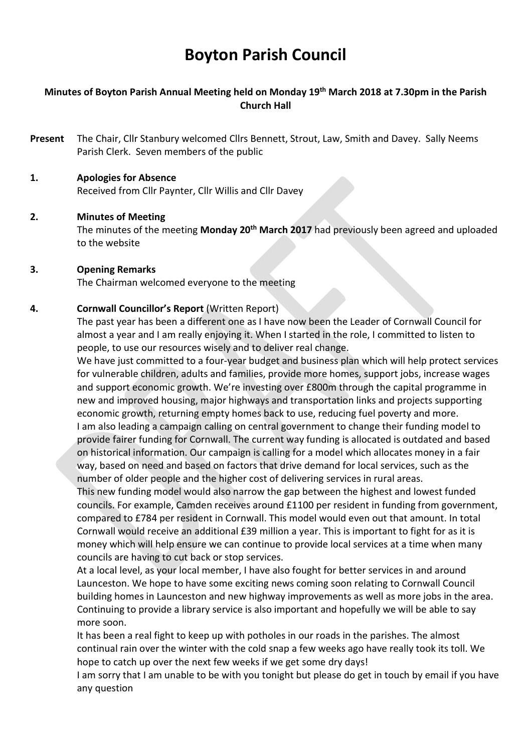# Boyton Parish Council

# Minutes of Boyton Parish Annual Meeting held on Monday 19th March 2018 at 7.30pm in the Parish Church Hall

- Present The Chair, Cllr Stanbury welcomed Cllrs Bennett, Strout, Law, Smith and Davey. Sally Neems Parish Clerk. Seven members of the public
- 1. Apologies for Absence Received from Cllr Paynter, Cllr Willis and Cllr Davey

## 2. Minutes of Meeting

The minutes of the meeting Monday 20<sup>th</sup> March 2017 had previously been agreed and uploaded to the website

#### 3. Opening Remarks

The Chairman welcomed everyone to the meeting

#### 4. Cornwall Councillor's Report (Written Report)

The past year has been a different one as I have now been the Leader of Cornwall Council for almost a year and I am really enjoying it. When I started in the role, I committed to listen to people, to use our resources wisely and to deliver real change.

We have just committed to a four-year budget and business plan which will help protect services for vulnerable children, adults and families, provide more homes, support jobs, increase wages and support economic growth. We're investing over £800m through the capital programme in new and improved housing, major highways and transportation links and projects supporting economic growth, returning empty homes back to use, reducing fuel poverty and more. I am also leading a campaign calling on central government to change their funding model to provide fairer funding for Cornwall. The current way funding is allocated is outdated and based on historical information. Our campaign is calling for a model which allocates money in a fair way, based on need and based on factors that drive demand for local services, such as the number of older people and the higher cost of delivering services in rural areas.

This new funding model would also narrow the gap between the highest and lowest funded councils. For example, Camden receives around £1100 per resident in funding from government, compared to £784 per resident in Cornwall. This model would even out that amount. In total Cornwall would receive an additional £39 million a year. This is important to fight for as it is money which will help ensure we can continue to provide local services at a time when many councils are having to cut back or stop services.

At a local level, as your local member, I have also fought for better services in and around Launceston. We hope to have some exciting news coming soon relating to Cornwall Council building homes in Launceston and new highway improvements as well as more jobs in the area. Continuing to provide a library service is also important and hopefully we will be able to say more soon.

It has been a real fight to keep up with potholes in our roads in the parishes. The almost continual rain over the winter with the cold snap a few weeks ago have really took its toll. We hope to catch up over the next few weeks if we get some dry days!

I am sorry that I am unable to be with you tonight but please do get in touch by email if you have any question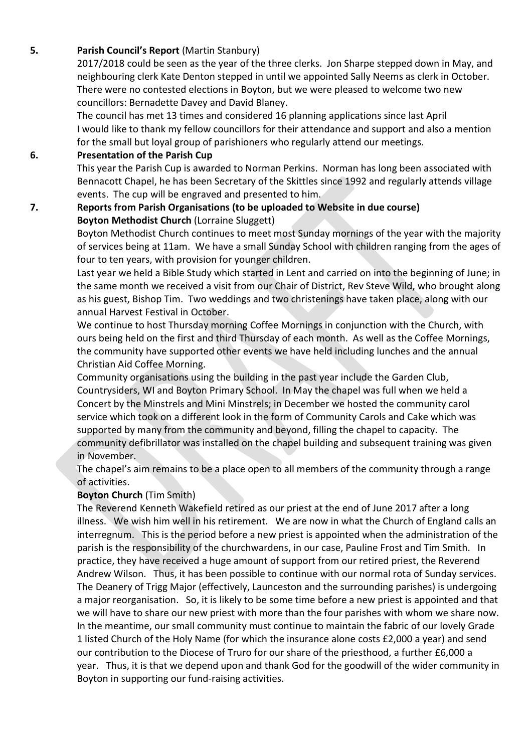# 5. Parish Council's Report (Martin Stanbury)

2017/2018 could be seen as the year of the three clerks. Jon Sharpe stepped down in May, and neighbouring clerk Kate Denton stepped in until we appointed Sally Neems as clerk in October. There were no contested elections in Boyton, but we were pleased to welcome two new councillors: Bernadette Davey and David Blaney.

The council has met 13 times and considered 16 planning applications since last April I would like to thank my fellow councillors for their attendance and support and also a mention for the small but loyal group of parishioners who regularly attend our meetings.

# 6. Presentation of the Parish Cup

This year the Parish Cup is awarded to Norman Perkins. Norman has long been associated with Bennacott Chapel, he has been Secretary of the Skittles since 1992 and regularly attends village events. The cup will be engraved and presented to him.

## 7. Reports from Parish Organisations (to be uploaded to Website in due course) Boyton Methodist Church (Lorraine Sluggett)

Boyton Methodist Church continues to meet most Sunday mornings of the year with the majority of services being at 11am. We have a small Sunday School with children ranging from the ages of four to ten years, with provision for younger children.

Last year we held a Bible Study which started in Lent and carried on into the beginning of June; in the same month we received a visit from our Chair of District, Rev Steve Wild, who brought along as his guest, Bishop Tim. Two weddings and two christenings have taken place, along with our annual Harvest Festival in October.

We continue to host Thursday morning Coffee Mornings in conjunction with the Church, with ours being held on the first and third Thursday of each month. As well as the Coffee Mornings, the community have supported other events we have held including lunches and the annual Christian Aid Coffee Morning.

Community organisations using the building in the past year include the Garden Club, Countrysiders, WI and Boyton Primary School. In May the chapel was full when we held a Concert by the Minstrels and Mini Minstrels; in December we hosted the community carol service which took on a different look in the form of Community Carols and Cake which was supported by many from the community and beyond, filling the chapel to capacity. The community defibrillator was installed on the chapel building and subsequent training was given in November.

The chapel's aim remains to be a place open to all members of the community through a range of activities.

# Boyton Church (Tim Smith)

The Reverend Kenneth Wakefield retired as our priest at the end of June 2017 after a long illness. We wish him well in his retirement. We are now in what the Church of England calls an interregnum. This is the period before a new priest is appointed when the administration of the parish is the responsibility of the churchwardens, in our case, Pauline Frost and Tim Smith. In practice, they have received a huge amount of support from our retired priest, the Reverend Andrew Wilson. Thus, it has been possible to continue with our normal rota of Sunday services. The Deanery of Trigg Major (effectively, Launceston and the surrounding parishes) is undergoing a major reorganisation. So, it is likely to be some time before a new priest is appointed and that we will have to share our new priest with more than the four parishes with whom we share now. In the meantime, our small community must continue to maintain the fabric of our lovely Grade 1 listed Church of the Holy Name (for which the insurance alone costs £2,000 a year) and send our contribution to the Diocese of Truro for our share of the priesthood, a further £6,000 a year. Thus, it is that we depend upon and thank God for the goodwill of the wider community in Boyton in supporting our fund-raising activities.